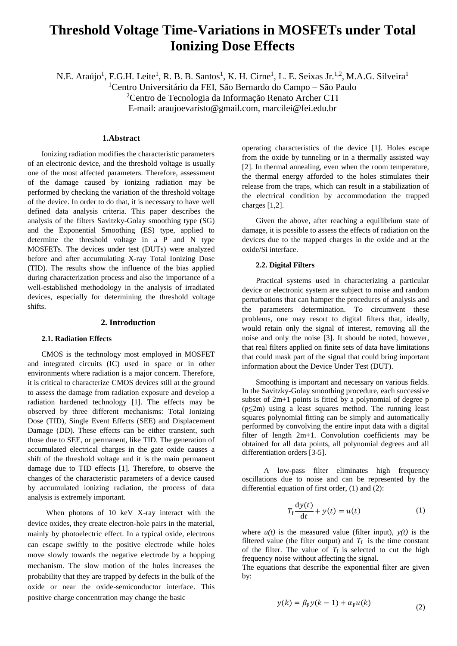# **Threshold Voltage Time-Variations in MOSFETs under Total Ionizing Dose Effects**

N.E. Araújo<sup>1</sup>, F.G.H. Leite<sup>1</sup>, R. B. B. Santos<sup>1</sup>, K. H. Cirne<sup>1</sup>, L. E. Seixas Jr.<sup>1,2</sup>, M.A.G. Silveira<sup>1</sup>

<sup>1</sup>Centro Universitário da FEI, São Bernardo do Campo – São Paulo

<sup>2</sup>Centro de Tecnologia da Informação Renato Archer CTI

E-mail: araujoevaristo@gmail.com, marcilei@fei.edu.br

# **1.Abstract**

Ionizing radiation modifies the characteristic parameters of an electronic device, and the threshold voltage is usually one of the most affected parameters. Therefore, assessment of the damage caused by ionizing radiation may be performed by checking the variation of the threshold voltage of the device. In order to do that, it is necessary to have well defined data analysis criteria. This paper describes the analysis of the filters Savitzky-Golay smoothing type (SG) and the Exponential Smoothing (ES) type, applied to determine the threshold voltage in a P and N type MOSFETs. The devices under test (DUTs) were analyzed before and after accumulating X-ray Total Ionizing Dose (TID). The results show the influence of the bias applied during characterization process and also the importance of a well-established methodology in the analysis of irradiated devices, especially for determining the threshold voltage shifts.

# **2. Introduction**

#### **2.1. Radiation Effects**

CMOS is the technology most employed in MOSFET and integrated circuits (IC) used in space or in other environments where radiation is a major concern. Therefore, it is critical to characterize CMOS devices still at the ground to assess the damage from radiation exposure and develop a radiation hardened technology [1]. The effects may be observed by three different mechanisms: Total Ionizing Dose (TID), Single Event Effects (SEE) and Displacement Damage (DD). These effects can be either transient, such those due to SEE, or permanent, like TID. The generation of accumulated electrical charges in the gate oxide causes a shift of the threshold voltage and it is the main permanent damage due to TID effects [1]. Therefore, to observe the changes of the characteristic parameters of a device caused by accumulated ionizing radiation, the process of data analysis is extremely important.

When photons of 10 keV X-ray interact with the device oxides, they create electron-hole pairs in the material, mainly by photoelectric effect. In a typical oxide, electrons can escape swiftly to the positive electrode while holes move slowly towards the negative electrode by a hopping mechanism. The slow motion of the holes increases the probability that they are trapped by defects in the bulk of the oxide or near the oxide-semiconductor interface. This positive charge concentration may change the basic

operating characteristics of the device [1]. Holes escape from the oxide by tunneling or in a thermally assisted way [2]. In thermal annealing, even when the room temperature, the thermal energy afforded to the holes stimulates their release from the traps, which can result in a stabilization of the electrical condition by accommodation the trapped charges [1,2].

Given the above, after reaching a equilibrium state of damage, it is possible to assess the effects of radiation on the devices due to the trapped charges in the oxide and at the oxide/Si interface.

## **2.2. Digital Filters**

Practical systems used in characterizing a particular device or electronic system are subject to noise and random perturbations that can hamper the procedures of analysis and the parameters determination. To circumvent these problems, one may resort to digital filters that, ideally, would retain only the signal of interest, removing all the noise and only the noise [3]. It should be noted, however, that real filters applied on finite sets of data have limitations that could mask part of the signal that could bring important information about the Device Under Test (DUT).

Smoothing is important and necessary on various fields. In the Savitzky-Golay smoothing procedure, each successive subset of 2m+1 points is fitted by a polynomial of degree p  $(p \leq 2m)$  using a least squares method. The running least squares polynomial fitting can be simply and automatically performed by convolving the entire input data with a digital filter of length 2m+1. Convolution coefficients may be obtained for all data points, all polynomial degrees and all differentiation orders [3-5].

A low-pass filter eliminates high frequency oscillations due to noise and can be represented by the differential equation of first order, (1) and (2):

$$
T_f \frac{dy(t)}{dt} + y(t) = u(t)
$$
 (1)

where  $u(t)$  is the measured value (filter input),  $v(t)$  is the filtered value (the filter output) and  $T_f$  is the time constant of the filter. The value of  $T_f$  is selected to cut the high frequency noise without affecting the signal.

The equations that describe the exponential filter are given by:

$$
y(k) = \beta_{\rm F} y(k-1) + \alpha_{\rm F} u(k) \tag{2}
$$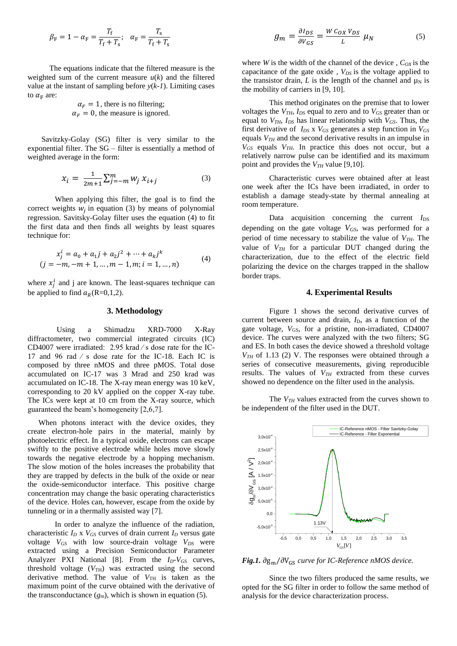$$
\beta_{\rm F} = 1 - \alpha_{\rm F} = \frac{T_{\rm f}}{T_{\rm f} + T_{\rm s}}; \quad \alpha_{\rm F} = \frac{T_{\rm s}}{T_{\rm f} + T_{\rm s}}
$$

The equations indicate that the filtered measure is the weighted sum of the current measure  $u(k)$  and the filtered value at the instant of sampling before *y*(*k-1*). Limiting cases to  $\alpha_F$  are:

$$
\alpha_F = 1
$$
, there is no filtering;  
\n $\alpha_F = 0$ , the measure is ignored.

Savitzky-Golay (SG) filter is very similar to the exponential filter. The SG – filter is essentially a method of weighted average in the form:

$$
x_i = \frac{1}{2m+1} \sum_{j=-m}^{m} w_j \; x_{i+j} \tag{3}
$$

When applying this filter, the goal is to find the correct weights  $w_j$  in equation (3) by means of polynomial regression. Savitsky-Golay filter uses the equation (4) to fit the first data and then finds all weights by least squares technique for:

$$
x_j^i = a_0 + a_1 j + a_2 j^2 + \dots + a_k j^k
$$
  
(*j* = -*m*, -*m* + 1, ..., *m* - 1, *m*; *i* = 1, ..., *n*) (4)

where  $x_j^i$  and j are known. The least-squares technique can be applied to find  $a_R$ (R=0,1,2).

#### **3. Methodology**

Using a Shimadzu XRD-7000 X-Ray diffractometer, two commercial integrated circuits (IC) CD4007 were irradiated: 2.95 krad ⁄ s dose rate for the IC-17 and 96 rad ⁄ s dose rate for the IC-18. Each IC is composed by three nMOS and three pMOS. Total dose accumulated on IC-17 was 3 Mrad and 250 krad was accumulated on IC-18. The X-ray mean energy was 10 keV, corresponding to 20 kV applied on the copper X-ray tube. The ICs were kept at 10 cm from the X-ray source, which guaranteed the beam's homogeneity [2,6,7].

When photons interact with the device oxides, they create electron-hole pairs in the material, mainly by photoelectric effect. In a typical oxide, electrons can escape swiftly to the positive electrode while holes move slowly towards the negative electrode by a hopping mechanism. The slow motion of the holes increases the probability that they are trapped by defects in the bulk of the oxide or near the oxide-semiconductor interface. This positive charge concentration may change the basic operating characteristics of the device. Holes can, however, escape from the oxide by tunneling or in a thermally assisted way [7].

In order to analyze the influence of the radiation, characteristic  $I_D \times V_{GS}$  curves of drain current  $I_D$  versus gate voltage  $V_{GS}$  with low source-drain voltage  $V_{DS}$  were extracted using a Precision Semiconductor Parameter Analyzer PXI National [8]. From the *ID-VGS* curves, threshold voltage  $(V<sub>TH</sub>)$  was extracted using the second derivative method. The value of  $V_{TH}$  is taken as the maximum point of the curve obtained with the derivative of the transconductance  $(g_m)$ , which is shown in equation (5).

$$
g_m = \frac{\partial I_{DS}}{\partial V_{GS}} = \frac{W C_{OX} V_{DS}}{L} \mu_N \tag{5}
$$

where *W* is the width of the channel of the device,  $C_{OX}$  is the capacitance of the gate oxide , *VDS* is the voltage applied to the transistor drain,  $L$  is the length of the channel and  $\mu$ <sub>N</sub> is the mobility of carriers in [9, 10].

This method originates on the premise that to lower voltages the  $V_{TH}$ ,  $I_{DS}$  equal to zero and to  $V_{GS}$  greater than or equal to  $V_{TH}$ ,  $I_{DS}$  has linear relationship with  $V_{GS}$ . Thus, the first derivative of  $I_{DS}$  x  $V_{GS}$  generates a step function in  $V_{GS}$ equals *VTH* and the second derivative results in an impulse in *VGS* equals *VTH*. In practice this does not occur, but a relatively narrow pulse can be identified and its maximum point and provides the *VTH* value [9,10].

Characteristic curves were obtained after at least one week after the ICs have been irradiated, in order to establish a damage steady-state by thermal annealing at room temperature.

Data acquisition concerning the current  $I_{DS}$ depending on the gate voltage *VGS*, was performed for a period of time necessary to stabilize the value of *VTH*. The value of  $V_{TH}$  for a particular DUT changed during the characterization, due to the effect of the electric field polarizing the device on the charges trapped in the shallow border traps.

#### **4. Experimental Results**

Figure 1 shows the second derivative curves of current between source and drain,  $I_D$ , as a function of the gate voltage, V<sub>GS</sub>, for a pristine, non-irradiated, CD4007 device. The curves were analyzed with the two filters; SG and ES. In both cases the device showed a threshold voltage *VTH* of 1.13 (2) V. The responses were obtained through a series of consecutive measurements, giving reproducible results. The values of *VTH* extracted from these curves showed no dependence on the filter used in the analysis.

The  $V_{TH}$  values extracted from the curves shown to be independent of the filter used in the DUT.



*Fig.1.* ∂g<sub>m</sub>/∂V<sub>GS</sub> curve for IC-Reference nMOS device.

Since the two filters produced the same results, we opted for the SG filter in order to follow the same method of analysis for the device characterization process.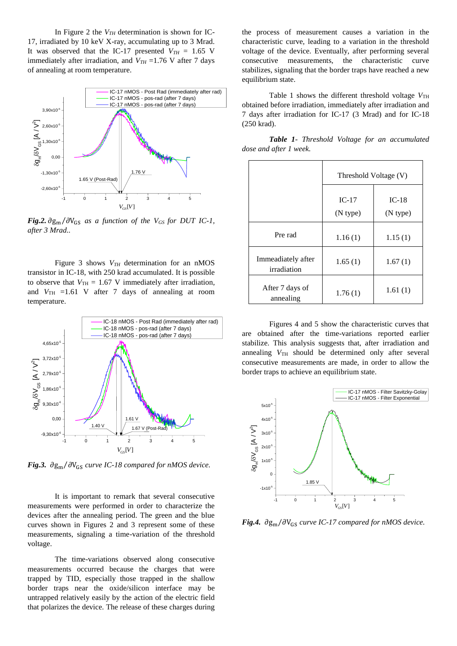In Figure 2 the *VTH* determination is shown for IC-17, irradiated by 10 keV X-ray, accumulating up to 3 Mrad. It was observed that the IC-17 presented  $V_{TH} = 1.65$  V immediately after irradiation, and  $V_{TH}$  =1.76 V after 7 days of annealing at room temperature.



*Fig.2.*  $\partial g_m / \partial V_{GS}$  *as a function of the*  $V_{GS}$  *for DUT IC-1, after 3 Mrad..*

Figure 3 shows *VTH* determination for an nMOS transistor in IC-18, with 250 krad accumulated. It is possible to observe that  $V_{TH} = 1.67$  V immediately after irradiation, and  $V_{TH}$  =1.61 V after 7 days of annealing at room temperature.



*Fig.3.* ∂g<sub>m</sub>/∂V<sub>GS</sub> curve *IC-18 compared for nMOS device.* 

It is important to remark that several consecutive measurements were performed in order to characterize the devices after the annealing period. The green and the blue curves shown in Figures 2 and 3 represent some of these measurements, signaling a time-variation of the threshold voltage.

The time-variations observed along consecutive measurements occurred because the charges that were trapped by TID, especially those trapped in the shallow border traps near the oxide/silicon interface may be untrapped relatively easily by the action of the electric field that polarizes the device. The release of these charges during the process of measurement causes a variation in the characteristic curve, leading to a variation in the threshold voltage of the device. Eventually, after performing several consecutive measurements, the characteristic curve stabilizes, signaling that the border traps have reached a new equilibrium state.

Table 1 shows the different threshold voltage  $V_{TH}$ obtained before irradiation, immediately after irradiation and 7 days after irradiation for IC-17 (3 Mrad) and for IC-18 (250 krad).

|                        |  |  | Table 1- Threshold Voltage for an accumulated |
|------------------------|--|--|-----------------------------------------------|
| dose and after 1 week. |  |  |                                               |

|                                   | Threshold Voltage (V) |                     |  |  |
|-----------------------------------|-----------------------|---------------------|--|--|
|                                   | $IC-17$<br>(N type)   | $IC-18$<br>(N type) |  |  |
| Pre rad                           | 1.16(1)               | 1.15(1)             |  |  |
| Immeadiately after<br>irradiation | 1.65(1)               | 1.67(1)             |  |  |
| After 7 days of<br>annealing      | 1.76(1)               | 1.61(1)             |  |  |

Figures 4 and 5 show the characteristic curves that are obtained after the time-variations reported earlier stabilize. This analysis suggests that, after irradiation and annealing  $V_{TH}$  should be determined only after several consecutive measurements are made, in order to allow the border traps to achieve an equilibrium state.



*Fig.4.* ∂g<sub>m</sub>/∂V<sub>GS</sub> curve *IC-17 compared for nMOS device.*